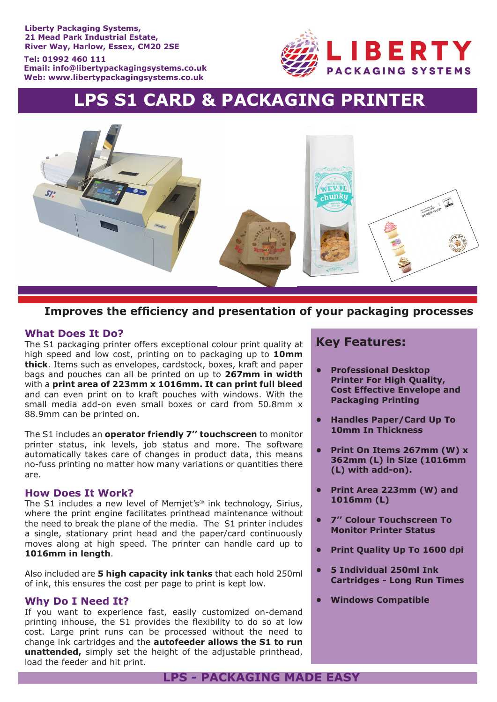#### **Liberty Packaging Systems, 21 Mead Park Industrial Estate, River Way, Harlow, Essex, CM20 2SE**

#### **Tel: 01992 460 111 Email: info@libertypackagingsystems.co.uk Web: www.libertypackagingsystems.co.uk**



# **LPS S1 CARD & PACKAGING PRINTER**



# **Improves the efficiency and presentation of your packaging processes**

## **What Does It Do?**

The S1 packaging printer offers exceptional colour print quality at high speed and low cost, printing on to packaging up to **10mm thick**. Items such as envelopes, cardstock, boxes, kraft and paper bags and pouches can all be printed on up to **267mm in width** with a **print area of 223mm x 1016mm. It can print full bleed**  and can even print on to kraft pouches with windows. With the small media add-on even small boxes or card from 50.8mm x 88.9mm can be printed on.

The S1 includes an **operator friendly 7'' touchscreen** to monitor printer status, ink levels, job status and more. The software automatically takes care of changes in product data, this means no-fuss printing no matter how many variations or quantities there are.

#### Tnt on both sides of an envelope. **How Does It Work?**

The S1 includes a new level of Memjet's<sup>®</sup> ink technology, Sirius, where the print engine facilitates printhead maintenance without the need to break the plane of the media. The S1 printer includes a single, stationary print head and the paper/card continuously moves along at high speed. The printer can handle card up to **1016mm in length**.

Also included are **5 high capacity ink tanks** that each hold 250ml of ink, this ensures the cost per page to print is kept low.

### **Why Do I Need It?**

If you want to experience fast, easily customized on-demand printing inhouse, the S1 provides the flexibility to do so at low cost. Large print runs can be processed without the need to change ink cartridges and the **autofeeder allows the S1 to run unattended,** simply set the height of the adjustable printhead, load the feeder and hit print.

# **Key Features:**

- **• Professional Desktop Printer For High Quality, Cost Effective Envelope and Packaging Printing**
- **• Handles Paper/Card Up To 10mm In Thickness**
- **• Print On Items 267mm (W) x 362mm (L) in Size (1016mm (L) with add-on).**
- **• Print Area 223mm (W) and 1016mm (L)**
- **• 7'' Colour Touchscreen To Monitor Printer Status**
- **• Print Quality Up To 1600 dpi**
- **• 5 Individual 250ml Ink Cartridges - Long Run Times**
- **• Windows Compatible**

**LPS - PACKAGING MADE EASY**